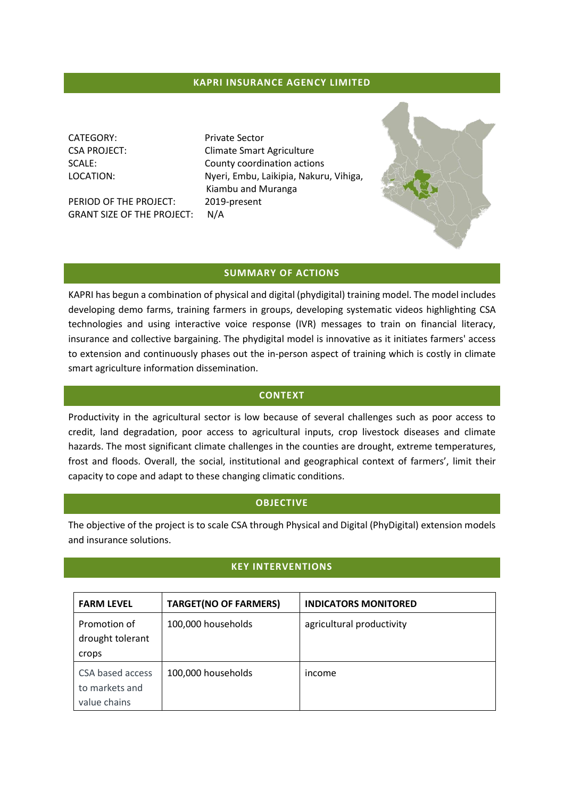### **KAPRI INSURANCE AGENCY LIMITED**

CATEGORY: Private Sector

PERIOD OF THE PROJECT: 2019-present GRANT SIZE OF THE PROJECT: N/A

CSA PROJECT: CSA PROJECT: SCALE: County coordination actions LOCATION: Nyeri, Embu, Laikipia, Nakuru, Vihiga, Kiambu and Muranga



#### **SUMMARY OF ACTIONS**

KAPRI has begun a combination of physical and digital (phydigital) training model. The model includes developing demo farms, training farmers in groups, developing systematic videos highlighting CSA technologies and using interactive voice response (IVR) messages to train on financial literacy, insurance and collective bargaining. The phydigital model is innovative as it initiates farmers' access to extension and continuously phases out the in-person aspect of training which is costly in climate smart agriculture information dissemination.

### **CONTEXT**

Productivity in the agricultural sector is low because of several challenges such as poor access to credit, land degradation, poor access to agricultural inputs, crop livestock diseases and climate hazards. The most significant climate challenges in the counties are drought, extreme temperatures, frost and floods. Overall, the social, institutional and geographical context of farmers', limit their capacity to cope and adapt to these changing climatic conditions.

#### **OBJECTIVE**

The objective of the project is to scale CSA through Physical and Digital (PhyDigital) extension models and insurance solutions.

# **KEY INTERVENTIONS**

| <b>FARM LEVEL</b>                                  | <b>TARGET(NO OF FARMERS)</b> | <b>INDICATORS MONITORED</b> |
|----------------------------------------------------|------------------------------|-----------------------------|
| Promotion of<br>drought tolerant<br>crops          | 100,000 households           | agricultural productivity   |
| CSA based access<br>to markets and<br>value chains | 100,000 households           | income                      |